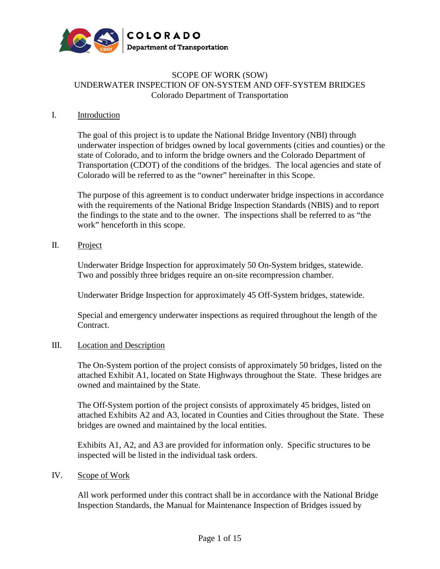

### SCOPE OF WORK (SOW) UNDERWATER INSPECTION OF ON-SYSTEM AND OFF-SYSTEM BRIDGES Colorado Department of Transportation

### I. Introduction

The goal of this project is to update the National Bridge Inventory (NBI) through underwater inspection of bridges owned by local governments (cities and counties) or the state of Colorado, and to inform the bridge owners and the Colorado Department of Transportation (CDOT) of the conditions of the bridges. The local agencies and state of Colorado will be referred to as the "owner" hereinafter in this Scope.

The purpose of this agreement is to conduct underwater bridge inspections in accordance with the requirements of the National Bridge Inspection Standards (NBIS) and to report the findings to the state and to the owner. The inspections shall be referred to as "the work" henceforth in this scope.

### II. Project

Underwater Bridge Inspection for approximately 50 On-System bridges, statewide. Two and possibly three bridges require an on-site recompression chamber.

Underwater Bridge Inspection for approximately 45 Off-System bridges, statewide.

Special and emergency underwater inspections as required throughout the length of the Contract.

### III. Location and Description

The On-System portion of the project consists of approximately 50 bridges, listed on the attached Exhibit A1, located on State Highways throughout the State. These bridges are owned and maintained by the State.

The Off-System portion of the project consists of approximately 45 bridges, listed on attached Exhibits A2 and A3, located in Counties and Cities throughout the State. These bridges are owned and maintained by the local entities.

Exhibits A1, A2, and A3 are provided for information only. Specific structures to be inspected will be listed in the individual task orders.

### IV. Scope of Work

All work performed under this contract shall be in accordance with the National Bridge Inspection Standards, the Manual for Maintenance Inspection of Bridges issued by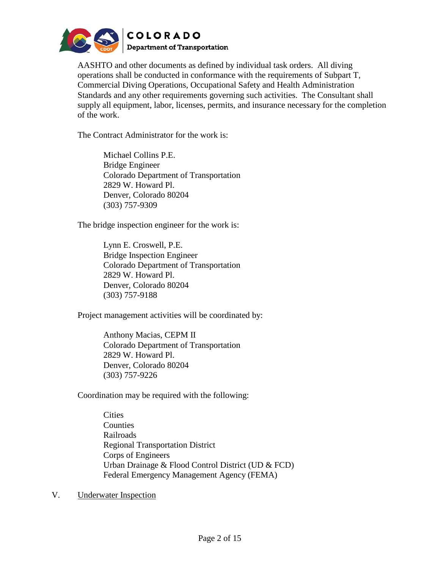

AASHTO and other documents as defined by individual task orders. All diving operations shall be conducted in conformance with the requirements of Subpart T, Commercial Diving Operations, Occupational Safety and Health Administration Standards and any other requirements governing such activities. The Consultant shall supply all equipment, labor, licenses, permits, and insurance necessary for the completion of the work.

The Contract Administrator for the work is:

Michael Collins P.E. Bridge Engineer Colorado Department of Transportation 2829 W. Howard Pl. Denver, Colorado 80204 (303) 757-9309

The bridge inspection engineer for the work is:

Lynn E. Croswell, P.E. Bridge Inspection Engineer Colorado Department of Transportation 2829 W. Howard Pl. Denver, Colorado 80204 (303) 757-9188

Project management activities will be coordinated by:

Anthony Macias, CEPM II Colorado Department of Transportation 2829 W. Howard Pl. Denver, Colorado 80204 (303) 757-9226

Coordination may be required with the following:

**Cities** Counties Railroads Regional Transportation District Corps of Engineers Urban Drainage & Flood Control District (UD & FCD) Federal Emergency Management Agency (FEMA)

V. Underwater Inspection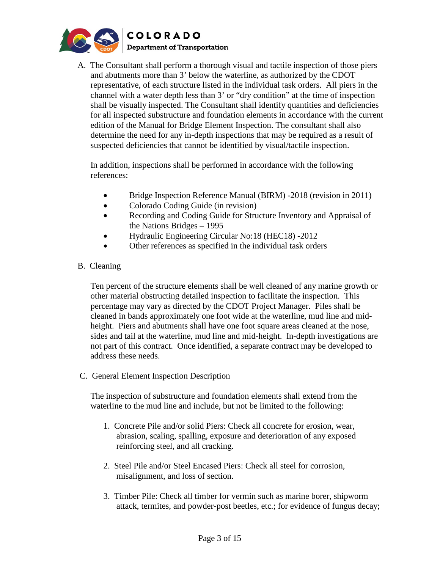

A. The Consultant shall perform a thorough visual and tactile inspection of those piers and abutments more than 3' below the waterline, as authorized by the CDOT representative, of each structure listed in the individual task orders. All piers in the channel with a water depth less than 3' or "dry condition" at the time of inspection shall be visually inspected. The Consultant shall identify quantities and deficiencies for all inspected substructure and foundation elements in accordance with the current edition of the Manual for Bridge Element Inspection. The consultant shall also determine the need for any in-depth inspections that may be required as a result of suspected deficiencies that cannot be identified by visual/tactile inspection.

In addition, inspections shall be performed in accordance with the following references:

- Bridge Inspection Reference Manual (BIRM) -2018 (revision in 2011)
- Colorado Coding Guide (in revision)
- Recording and Coding Guide for Structure Inventory and Appraisal of the Nations Bridges – 1995
- Hydraulic Engineering Circular No:18 (HEC18) -2012
- Other references as specified in the individual task orders

# B. Cleaning

Ten percent of the structure elements shall be well cleaned of any marine growth or other material obstructing detailed inspection to facilitate the inspection. This percentage may vary as directed by the CDOT Project Manager. Piles shall be cleaned in bands approximately one foot wide at the waterline, mud line and midheight. Piers and abutments shall have one foot square areas cleaned at the nose, sides and tail at the waterline, mud line and mid-height. In-depth investigations are not part of this contract. Once identified, a separate contract may be developed to address these needs.

# C. General Element Inspection Description

 The inspection of substructure and foundation elements shall extend from the waterline to the mud line and include, but not be limited to the following:

- 1. Concrete Pile and/or solid Piers: Check all concrete for erosion, wear, abrasion, scaling, spalling, exposure and deterioration of any exposed reinforcing steel, and all cracking.
- 2. Steel Pile and/or Steel Encased Piers: Check all steel for corrosion, misalignment, and loss of section.
- 3. Timber Pile: Check all timber for vermin such as marine borer, shipworm attack, termites, and powder-post beetles, etc.; for evidence of fungus decay;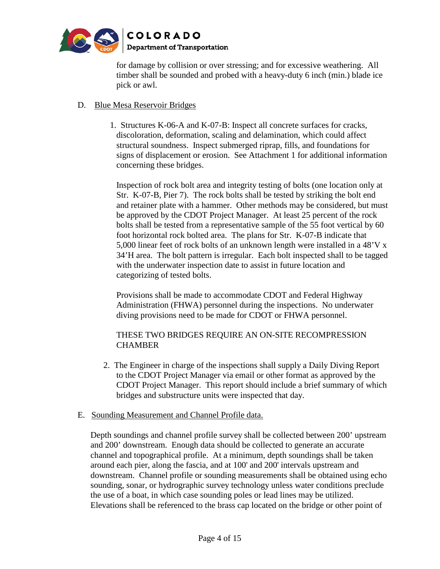

for damage by collision or over stressing; and for excessive weathering. All timber shall be sounded and probed with a heavy-duty 6 inch (min.) blade ice pick or awl.

# D. Blue Mesa Reservoir Bridges

 1. Structures K-06-A and K-07-B: Inspect all concrete surfaces for cracks, discoloration, deformation, scaling and delamination, which could affect structural soundness. Inspect submerged riprap, fills, and foundations for signs of displacement or erosion. See Attachment 1 for additional information concerning these bridges.

Inspection of rock bolt area and integrity testing of bolts (one location only at Str. K-07-B, Pier 7). The rock bolts shall be tested by striking the bolt end and retainer plate with a hammer. Other methods may be considered, but must be approved by the CDOT Project Manager. At least 25 percent of the rock bolts shall be tested from a representative sample of the 55 foot vertical by 60 foot horizontal rock bolted area. The plans for Str. K-07-B indicate that 5,000 linear feet of rock bolts of an unknown length were installed in a 48'V x 34'H area. The bolt pattern is irregular. Each bolt inspected shall to be tagged with the underwater inspection date to assist in future location and categorizing of tested bolts.

Provisions shall be made to accommodate CDOT and Federal Highway Administration (FHWA) personnel during the inspections. No underwater diving provisions need to be made for CDOT or FHWA personnel.

# THESE TWO BRIDGES REQUIRE AN ON-SITE RECOMPRESSION **CHAMBER**

2. The Engineer in charge of the inspections shall supply a Daily Diving Report to the CDOT Project Manager via email or other format as approved by the CDOT Project Manager. This report should include a brief summary of which bridges and substructure units were inspected that day.

# E. Sounding Measurement and Channel Profile data.

Depth soundings and channel profile survey shall be collected between 200' upstream and 200' downstream. Enough data should be collected to generate an accurate channel and topographical profile. At a minimum, depth soundings shall be taken around each pier, along the fascia, and at 100' and 200' intervals upstream and downstream. Channel profile or sounding measurements shall be obtained using echo sounding, sonar, or hydrographic survey technology unless water conditions preclude the use of a boat, in which case sounding poles or lead lines may be utilized. Elevations shall be referenced to the brass cap located on the bridge or other point of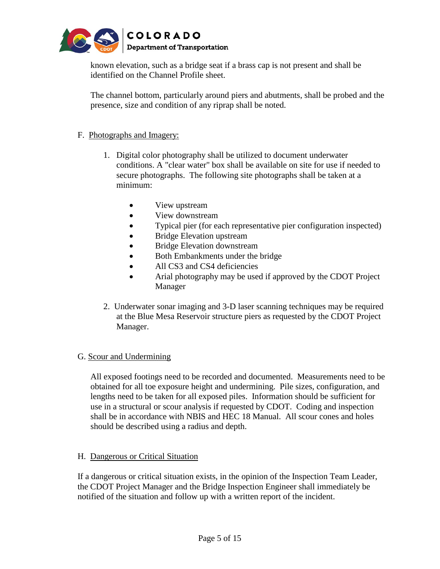

known elevation, such as a bridge seat if a brass cap is not present and shall be identified on the Channel Profile sheet.

The channel bottom, particularly around piers and abutments, shall be probed and the presence, size and condition of any riprap shall be noted.

# F. Photographs and Imagery:

- 1. Digital color photography shall be utilized to document underwater conditions. A "clear water" box shall be available on site for use if needed to secure photographs. The following site photographs shall be taken at a minimum:
	- View upstream
	- View downstream
	- Typical pier (for each representative pier configuration inspected)
	- Bridge Elevation upstream
	- Bridge Elevation downstream
	- Both Embankments under the bridge
	- All CS3 and CS4 deficiencies
	- Arial photography may be used if approved by the CDOT Project Manager
- 2. Underwater sonar imaging and 3-D laser scanning techniques may be required at the Blue Mesa Reservoir structure piers as requested by the CDOT Project Manager.

# G. Scour and Undermining

All exposed footings need to be recorded and documented. Measurements need to be obtained for all toe exposure height and undermining. Pile sizes, configuration, and lengths need to be taken for all exposed piles. Information should be sufficient for use in a structural or scour analysis if requested by CDOT. Coding and inspection shall be in accordance with NBIS and HEC 18 Manual. All scour cones and holes should be described using a radius and depth.

# H. Dangerous or Critical Situation

If a dangerous or critical situation exists, in the opinion of the Inspection Team Leader, the CDOT Project Manager and the Bridge Inspection Engineer shall immediately be notified of the situation and follow up with a written report of the incident.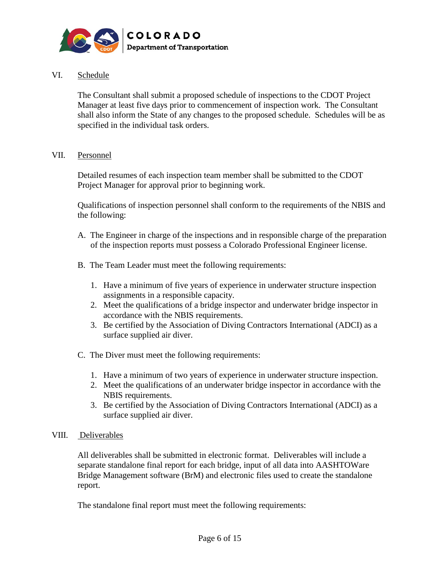

### VI. Schedule

The Consultant shall submit a proposed schedule of inspections to the CDOT Project Manager at least five days prior to commencement of inspection work. The Consultant shall also inform the State of any changes to the proposed schedule. Schedules will be as specified in the individual task orders.

### VII. Personnel

 Detailed resumes of each inspection team member shall be submitted to the CDOT Project Manager for approval prior to beginning work.

Qualifications of inspection personnel shall conform to the requirements of the NBIS and the following:

- A. The Engineer in charge of the inspections and in responsible charge of the preparation of the inspection reports must possess a Colorado Professional Engineer license.
- B. The Team Leader must meet the following requirements:
	- 1. Have a minimum of five years of experience in underwater structure inspection assignments in a responsible capacity.
	- 2. Meet the qualifications of a bridge inspector and underwater bridge inspector in accordance with the NBIS requirements.
	- 3. Be certified by the Association of Diving Contractors International (ADCI) as a surface supplied air diver.
- C. The Diver must meet the following requirements:
	- 1. Have a minimum of two years of experience in underwater structure inspection.
	- 2. Meet the qualifications of an underwater bridge inspector in accordance with the NBIS requirements.
	- 3. Be certified by the Association of Diving Contractors International (ADCI) as a surface supplied air diver.

### VIII. Deliverables

 All deliverables shall be submitted in electronic format. Deliverables will include a separate standalone final report for each bridge, input of all data into AASHTOWare Bridge Management software (BrM) and electronic files used to create the standalone report.

The standalone final report must meet the following requirements: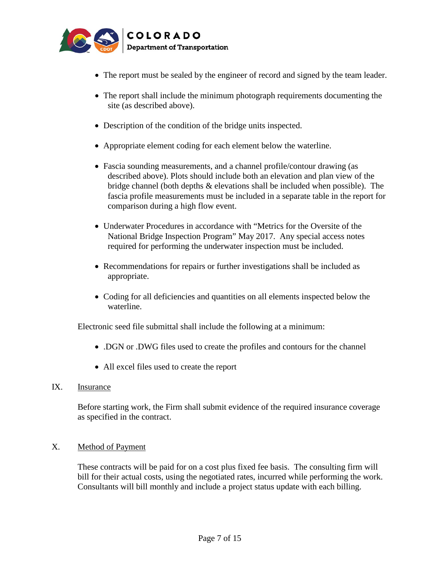

- The report must be sealed by the engineer of record and signed by the team leader.
- The report shall include the minimum photograph requirements documenting the site (as described above).
- Description of the condition of the bridge units inspected.
- Appropriate element coding for each element below the waterline.
- Fascia sounding measurements, and a channel profile/contour drawing (as described above). Plots should include both an elevation and plan view of the bridge channel (both depths & elevations shall be included when possible). The fascia profile measurements must be included in a separate table in the report for comparison during a high flow event.
- Underwater Procedures in accordance with "Metrics for the Oversite of the National Bridge Inspection Program" May 2017. Any special access notes required for performing the underwater inspection must be included.
- Recommendations for repairs or further investigations shall be included as appropriate.
- Coding for all deficiencies and quantities on all elements inspected below the waterline.

Electronic seed file submittal shall include the following at a minimum:

- .DGN or .DWG files used to create the profiles and contours for the channel
- All excel files used to create the report
- IX. Insurance

Before starting work, the Firm shall submit evidence of the required insurance coverage as specified in the contract.

### X. Method of Payment

These contracts will be paid for on a cost plus fixed fee basis. The consulting firm will bill for their actual costs, using the negotiated rates, incurred while performing the work. Consultants will bill monthly and include a project status update with each billing.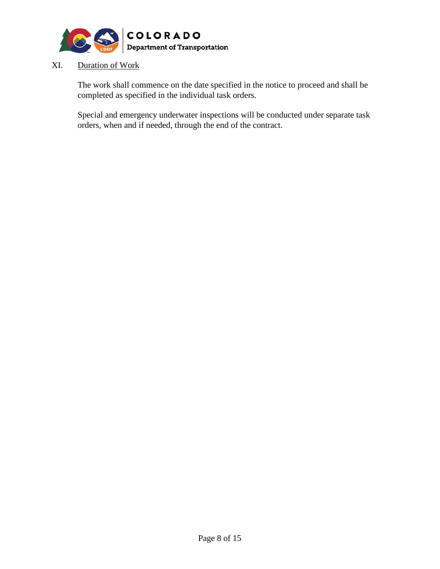

# XI. Duration of Work

The work shall commence on the date specified in the notice to proceed and shall be completed as specified in the individual task orders.

Special and emergency underwater inspections will be conducted under separate task orders, when and if needed, through the end of the contract.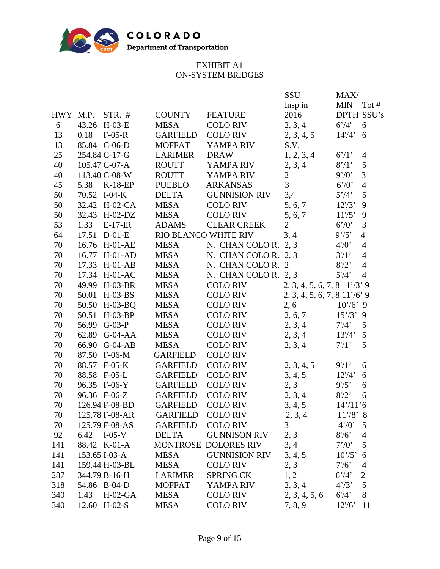

# EXHIBIT A1 ON-SYSTEM BRIDGES

| Insp in<br><b>MIN</b><br>2016<br>2, 3, 4<br>6'/4'<br>14'/4'<br>2, 3, 4, 5<br>S.V.<br>1, 2, 3, 4<br>6'/1'<br>$8'$ /1'<br>2, 3, 4<br>9'/0'<br>6'/0'<br>5'/4'<br>12' / 3'<br>5, 6, 7<br>11' / 5'<br>5, 6, 7<br>6'/0' | Tot $#$<br><b>DPTH SSU's</b><br>6<br>6<br>$\overline{4}$<br>5<br>$\mathfrak{Z}$<br>$\overline{4}$<br>5<br>9<br>9<br>3       |
|-------------------------------------------------------------------------------------------------------------------------------------------------------------------------------------------------------------------|-----------------------------------------------------------------------------------------------------------------------------|
|                                                                                                                                                                                                                   |                                                                                                                             |
|                                                                                                                                                                                                                   |                                                                                                                             |
|                                                                                                                                                                                                                   |                                                                                                                             |
|                                                                                                                                                                                                                   |                                                                                                                             |
|                                                                                                                                                                                                                   |                                                                                                                             |
|                                                                                                                                                                                                                   |                                                                                                                             |
|                                                                                                                                                                                                                   |                                                                                                                             |
|                                                                                                                                                                                                                   |                                                                                                                             |
|                                                                                                                                                                                                                   |                                                                                                                             |
|                                                                                                                                                                                                                   |                                                                                                                             |
|                                                                                                                                                                                                                   |                                                                                                                             |
|                                                                                                                                                                                                                   |                                                                                                                             |
|                                                                                                                                                                                                                   |                                                                                                                             |
| 3, 4<br>9'/5'                                                                                                                                                                                                     | $\overline{4}$                                                                                                              |
| N. CHAN COLO R. $2, 3$<br>$4'$ /0'                                                                                                                                                                                | $\overline{4}$                                                                                                              |
| $3'$ /1'<br>N. CHAN COLO R. $2, 3$                                                                                                                                                                                | $\overline{4}$                                                                                                              |
| 8' / 2'                                                                                                                                                                                                           | $\overline{4}$                                                                                                              |
| 5' / 4'                                                                                                                                                                                                           | $\overline{4}$                                                                                                              |
| $2, 3, 4, 5, 6, 7, 811'$ /3' 9                                                                                                                                                                                    |                                                                                                                             |
| $2, 3, 4, 5, 6, 7, 8, 11'$ /6' 9                                                                                                                                                                                  |                                                                                                                             |
| 2, 6<br>$10'/6$ , 9                                                                                                                                                                                               |                                                                                                                             |
| 2, 6, 7<br>$15'/3$ ' 9                                                                                                                                                                                            |                                                                                                                             |
| 2, 3, 4<br>$7'$ /4'                                                                                                                                                                                               | 5                                                                                                                           |
| 2, 3, 4<br>13' / 4'                                                                                                                                                                                               | 5                                                                                                                           |
| 7/1                                                                                                                                                                                                               | 5                                                                                                                           |
|                                                                                                                                                                                                                   |                                                                                                                             |
| $9'$ /1'                                                                                                                                                                                                          | 6                                                                                                                           |
| 12' / 4'                                                                                                                                                                                                          | 6                                                                                                                           |
| 9' / 5'                                                                                                                                                                                                           | 6                                                                                                                           |
| 8' / 2'                                                                                                                                                                                                           | 6                                                                                                                           |
| $14'/11'$ 6                                                                                                                                                                                                       |                                                                                                                             |
| $11'/8$ ' 8                                                                                                                                                                                                       |                                                                                                                             |
| 4'/0'                                                                                                                                                                                                             | 5                                                                                                                           |
| 8' / 6'                                                                                                                                                                                                           | $\overline{4}$                                                                                                              |
| 7'/0                                                                                                                                                                                                              | 5                                                                                                                           |
| 10'/5'                                                                                                                                                                                                            | 6                                                                                                                           |
| $7'$ /6'                                                                                                                                                                                                          | 4                                                                                                                           |
| 6'/4'                                                                                                                                                                                                             | $\overline{2}$                                                                                                              |
| 4'/3'                                                                                                                                                                                                             | 5                                                                                                                           |
| 6' / 4'                                                                                                                                                                                                           | 8                                                                                                                           |
| 12' / 6'                                                                                                                                                                                                          | 11                                                                                                                          |
| 2, 3<br>3, 4<br>2, 3<br>1, 2                                                                                                                                                                                      | 2, 3, 4<br>2, 3, 4, 5<br>3, 4, 5<br>2, 3<br>2, 3, 4<br>3, 4, 5<br>2, 3, 4<br>3, 4, 5<br>2, 3, 4<br>2, 3, 4, 5, 6<br>7, 8, 9 |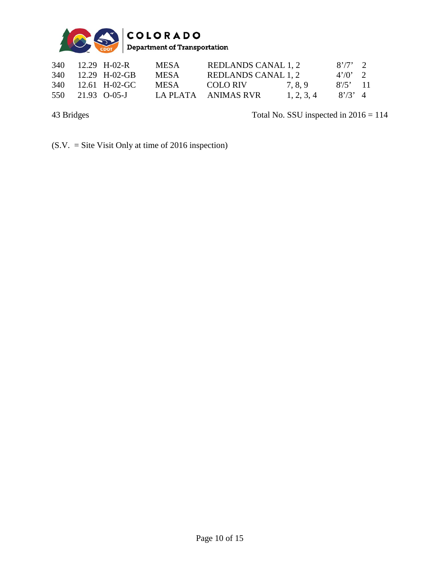

| 340 | $12.29$ H-02-R   | <b>MESA</b> | REDLANDS CANAL 1, 2 |            | $8'/7$ 2   |  |
|-----|------------------|-------------|---------------------|------------|------------|--|
| 340 | 12.29 H-02-GB    | <b>MESA</b> | REDLANDS CANAL 1, 2 |            | $4'/0'$ 2  |  |
| 340 | 12.61 H-02-GC    | <b>MESA</b> | COLO RIV            | 7.8.9      | $8'/5'$ 11 |  |
|     | 550 21.93 O-05-J |             | LA PLATA ANIMAS RVR | 1, 2, 3, 4 | $8'/3'$ 4  |  |

43 Bridges Total No. SSU inspected in  $2016 = 114$ 

(S.V. = Site Visit Only at time of 2016 inspection)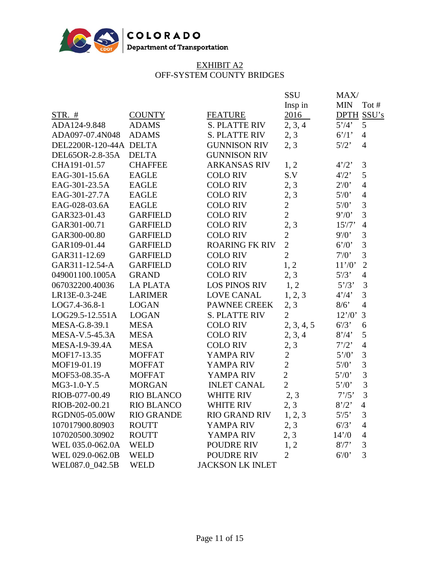

### EXHIBIT A2 OFF-SYSTEM COUNTY BRIDGES

|                        |                   |                         | SSU<br>Insp in | MAX/<br><b>MIN</b><br>Tot #      |
|------------------------|-------------------|-------------------------|----------------|----------------------------------|
| $STR.$ #               | <b>COUNTY</b>     | <b>FEATURE</b>          | 2016           | DPTH SSU's                       |
| ADA124-9.848           | <b>ADAMS</b>      | <b>S. PLATTE RIV</b>    | 2, 3, 4        | 5'/4'<br>5                       |
| ADA097-07.4N048        | <b>ADAMS</b>      | <b>S. PLATTE RIV</b>    | 2, 3           | 6'/1'<br>$\overline{4}$          |
| DEL2200R-120-44A DELTA |                   | <b>GUNNISON RIV</b>     | 2, 3           | $5'$ /2'<br>$\overline{4}$       |
| DEL65OR-2.8-35A        | <b>DELTA</b>      | <b>GUNNISON RIV</b>     |                |                                  |
| CHA191-01.57           | <b>CHAFFEE</b>    | <b>ARKANSAS RIV</b>     | 1, 2           | 3<br>4'/2'                       |
| EAG-301-15.6A          | <b>EAGLE</b>      | <b>COLO RIV</b>         | S.V            | 5<br>$4'$ /2'                    |
| EAG-301-23.5A          | <b>EAGLE</b>      | <b>COLO RIV</b>         | 2, 3           | $2'$ /0'<br>$\overline{4}$       |
| EAG-301-27.7A          | <b>EAGLE</b>      | <b>COLO RIV</b>         | 2, 3           | $5'$ /0'<br>$\overline{4}$       |
| EAG-028-03.6A          | <b>EAGLE</b>      | <b>COLO RIV</b>         | $\overline{2}$ | $\overline{3}$<br>$5\frac{7}{0}$ |
| GAR323-01.43           | <b>GARFIELD</b>   | <b>COLO RIV</b>         | $\overline{2}$ | 3<br>9'/0'                       |
| GAR301-00.71           | <b>GARFIELD</b>   | <b>COLO RIV</b>         | 2, 3           | $15'$ /7'<br>$\overline{4}$      |
| GAR300-00.80           | <b>GARFIELD</b>   | <b>COLO RIV</b>         | $\overline{c}$ | 3<br>9' / 0'                     |
| GAR109-01.44           | <b>GARFIELD</b>   | <b>ROARING FK RIV</b>   | $\overline{2}$ | $\overline{3}$<br>6'/0'          |
| GAR311-12.69           | <b>GARFIELD</b>   | <b>COLO RIV</b>         | $\overline{2}$ | $\overline{3}$<br>$7'$ / $0$ '   |
| GAR311-12.54-A         | <b>GARFIELD</b>   | <b>COLO RIV</b>         | 1, 2           | $\overline{2}$<br>11'/0'         |
| 049001100.1005A        | <b>GRAND</b>      | <b>COLO RIV</b>         | 2, 3           | $5\frac{7}{3}$<br>$\overline{4}$ |
| 067032200.40036        | <b>LA PLATA</b>   | <b>LOS PINOS RIV</b>    | 1, 2           | 5'/3'<br>3                       |
| LR13E-0.3-24E          | <b>LARIMER</b>    | <b>LOVE CANAL</b>       | 1, 2, 3        | 3<br>4'/4'                       |
| LOG7.4-36.8-1          | <b>LOGAN</b>      | <b>PAWNEE CREEK</b>     | 2, 3           | $\overline{4}$<br>8/6            |
| LOG29.5-12.551A        | <b>LOGAN</b>      | <b>S. PLATTE RIV</b>    | $\overline{2}$ | 3<br>12'/0'                      |
| MESA-G.8-39.1          | <b>MESA</b>       | <b>COLO RIV</b>         | 2, 3, 4, 5     | $6^{7}3$<br>6                    |
| MESA-V.5-45.3A         | <b>MESA</b>       | <b>COLO RIV</b>         | 2, 3, 4        | 5<br>8'/4'                       |
| MESA-I.9-39.4A         | <b>MESA</b>       | <b>COLO RIV</b>         | 2, 3           | 7'/2'<br>$\overline{4}$          |
| MOF17-13.35            | <b>MOFFAT</b>     | YAMPA RIV               | $\overline{2}$ | 3<br>5'/0'                       |
| MOF19-01.19            | <b>MOFFAT</b>     | YAMPA RIV               | $\overline{2}$ | $\overline{3}$<br>$5'$ /0'       |
| MOF53-08.35-A          | <b>MOFFAT</b>     | YAMPA RIV               | $\overline{2}$ | $\overline{3}$<br>5'/0'          |
| MG3-1.0-Y.5            | <b>MORGAN</b>     | <b>INLET CANAL</b>      | $\overline{2}$ | 3<br>5'/0'                       |
| RIOB-077-00.49         | <b>RIO BLANCO</b> | <b>WHITE RIV</b>        | 2, 3           | 3<br>7'/5'                       |
| RIOB-202-00.21         | <b>RIO BLANCO</b> | <b>WHITE RIV</b>        | 2, 3           | 8'/2'<br>$\overline{4}$          |
| RGDN05-05.00W          | <b>RIO GRANDE</b> | <b>RIO GRAND RIV</b>    | 1, 2, 3        | $5\frac{7}{5}$<br>3              |
| 107017900.80903        | <b>ROUTT</b>      | YAMPA RIV               | 2, 3           | $6^{7}3$<br>$\overline{4}$       |
| 107020500.30902        | <b>ROUTT</b>      | YAMPA RIV               | 2, 3           | 14'/0<br>4                       |
| WEL 035.0-062.0A       | <b>WELD</b>       | POUDRE RIV              | 1, 2           | 3<br>8' / 7'                     |
| WEL 029.0-062.0B       | <b>WELD</b>       | POUDRE RIV              | $\overline{2}$ | 3<br>6''                         |
| WEL087.0 042.5B        | <b>WELD</b>       | <b>JACKSON LK INLET</b> |                |                                  |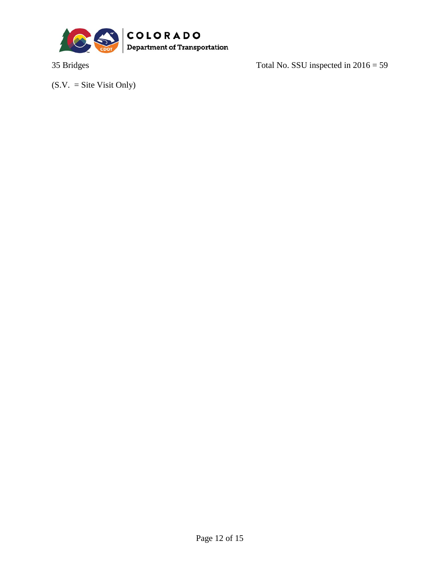

35 Bridges Total No. SSU inspected in 2016 = 59

 $(S.V. = Site Visit Only)$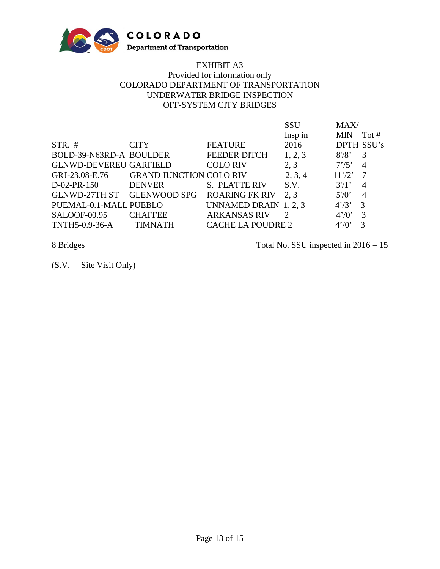

# EXHIBIT A3

# Provided for information only COLORADO DEPARTMENT OF TRANSPORTATION UNDERWATER BRIDGE INSPECTION OFF-SYSTEM CITY BRIDGES

|                               |                                |                          | SSU           | MAX/       |                |
|-------------------------------|--------------------------------|--------------------------|---------------|------------|----------------|
|                               |                                |                          | Insp in       | <b>MIN</b> | Tot $#$        |
| $STR. \#$                     | <b>CITY</b>                    | <b>FEATURE</b>           | 2016          | DPTH SSU's |                |
| BOLD-39-N63RD-A BOULDER       |                                | <b>FEEDER DITCH</b>      | 1, 2, 3       | 8' / 8'    | 3              |
| <b>GLNWD-DEVEREU GARFIELD</b> |                                | <b>COLO RIV</b>          | 2, 3          | 7'/5'      | $\overline{4}$ |
| GRJ-23.08-E.76                | <b>GRAND JUNCTION COLO RIV</b> |                          | 2, 3, 4       | 11'/2'     | -7             |
| $D-02-PR-150$                 | <b>DENVER</b>                  | <b>S. PLATTE RIV</b>     | S.V.          | $3'$ /1'   | $\overline{4}$ |
| <b>GLNWD-27TH ST</b>          | <b>GLENWOOD SPG</b>            | <b>ROARING FK RIV</b>    | 2.3           | $5'$ /0'   | $\overline{4}$ |
| PUEMAL-0.1-MALL PUEBLO        |                                | UNNAMED DRAIN 1, 2, 3    |               | 4'/3'      | 3              |
| SALOOF-00.95                  | <b>CHAFFEE</b>                 | <b>ARKANSAS RIV</b>      | $\mathcal{D}$ | 4'/0'      | 3              |
| TNTH5-0.9-36-A                | <b>TIMNATH</b>                 | <b>CACHE LA POUDRE 2</b> |               | 4'/0'      | 3              |

8 Bridges Total No. SSU inspected in 2016 = 15

 $(S.V. = Site Visit Only)$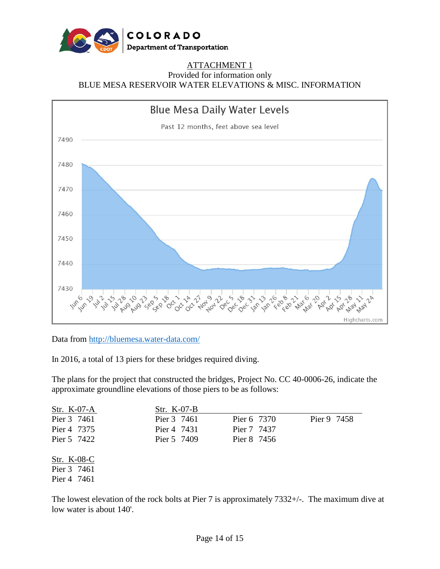

# ATTACHMENT 1

Provided for information only

BLUE MESA RESERVOIR WATER ELEVATIONS & MISC. INFORMATION



### Data from<http://bluemesa.water-data.com/>

In 2016, a total of 13 piers for these bridges required diving.

The plans for the project that constructed the bridges, Project No. CC 40-0006-26, indicate the approximate groundline elevations of those piers to be as follows:

| Str. K-07-A | Str. $K-07-B$ |             |             |
|-------------|---------------|-------------|-------------|
| Pier 3 7461 | Pier 3 7461   | Pier 6 7370 | Pier 9 7458 |
| Pier 4 7375 | Pier 4 7431   | Pier 7 7437 |             |
| Pier 5 7422 | Pier 5 7409   | Pier 8 7456 |             |
| Str. K-08-C |               |             |             |
| Pier 3 7461 |               |             |             |
| Pier 4 7461 |               |             |             |

The lowest elevation of the rock bolts at Pier 7 is approximately 7332+/-. The maximum dive at low water is about 140'.